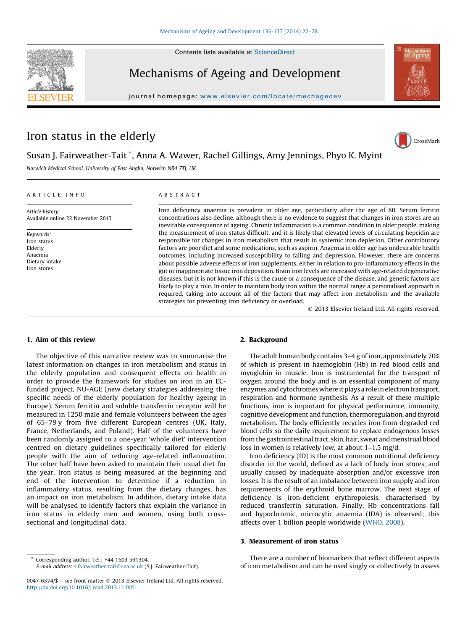

# Mechanisms of Ageing and Development

journal homepage: [www.elsevier.com/locate/mechagedev](http://dx.doi.org/www.elsevier.com/locate/mechagedev)





CrossMark

## Susan J. Fairweather-Tait \*, Anna A. Wawer, Rachel Gillings, Amy Jennings, Phyo K. Myint

Norwich Medical School, University of East Anglia, Norwich NR4 7TJ, UK

## ARTICLE INFO

Article history: Available online 22 November 2013

Keywords: Iron status Elderly Anaemia Dietary intake Iron stores

## ABSTRACT

Iron deficiency anaemia is prevalent in older age, particularly after the age of 80. Serum ferritin concentrations also decline, although there is no evidence to suggest that changes in iron stores are an inevitable consequence of ageing. Chronic inflammation is a common condition in older people, making the measurement of iron status difficult, and it is likely that elevated levels of circulating hepcidin are responsible for changes in iron metabolism that result in systemic iron depletion. Other contributory factors are poor diet and some medications, such as aspirin. Anaemia in older age has undesirable health outcomes, including increased susceptibility to falling and depression. However, there are concerns about possible adverse effects of iron supplements, either in relation to pro-inflammatory effects in the gut or inappropriate tissue iron deposition. Brain iron levels are increased with age-related degenerative diseases, but it is not known if this is the cause or a consequence of the disease, and genetic factors are likely to play a role. In order to maintain body iron within the normal range a personalised approach is required, taking into account all of the factors that may affect iron metabolism and the available strategies for preventing iron deficiency or overload.

 $\odot$  2013 Elsevier Ireland Ltd. All rights reserved.

#### 1. Aim of this review

The objective of this narrative review was to summarise the latest information on changes in iron metabolism and status in the elderly population and consequent effects on health in order to provide the framework for studies on iron in an ECfunded project, NU-AGE (new dietary strategies addressing the specific needs of the elderly population for healthy ageing in Europe). Serum ferritin and soluble transferrin receptor will be measured in 1250 male and female volunteers between the ages of 65–79 y from five different European centres (UK, Italy, France, Netherlands, and Poland). Half of the volunteers have been randomly assigned to a one-year 'whole diet' intervention centred on dietary guidelines specifically tailored for elderly people with the aim of reducing age-related inflammation. The other half have been asked to maintain their usual diet for the year. Iron status is being measured at the beginning and end of the intervention to determine if a reduction in inflammatory status, resulting from the dietary changes, has an impact on iron metabolism. In addition, dietary intake data will be analysed to identify factors that explain the variance in iron status in elderly men and women, using both crosssectional and longitudinal data.

## 2. Background

The adult human body contains 3–4 g of iron, approximately 70% of which is present in haemoglobin (Hb) in red blood cells and myoglobin in muscle. Iron is instrumental for the transport of oxygen around the body and is an essential component of many enzymes and cytochromeswhere it plays a role in electron transport, respiration and hormone synthesis. As a result of these multiple functions, iron is important for physical performance, immunity, cognitive development and function, thermoregulation, and thyroid metabolism. The body efficiently recycles iron from degraded red blood cells so the daily requirement to replace endogenous losses from the gastrointestinal tract, skin, hair, sweat and menstrual blood loss in women is relatively low, at about 1–1.5 mg/d.

Iron deficiency (ID) is the most common nutritional deficiency disorder in the world, defined as a lack of body iron stores, and usually caused by inadequate absorption and/or excessive iron losses. It is the result of an imbalance between iron supply and iron requirements of the erythroid bone marrow. The next stage of deficiency is iron-deficient erythropoiesis, characterised by reduced transferrin saturation. Finally, Hb concentrations fall and hypochromic, microcytic anaemia (IDA) is observed; this affects over 1 billion people worldwide [\(WHO, 2008\)](#page-6-0).

### 3. Measurement of iron status

 $*$  Corresponding author. Tel.:  $+44$  1603 591304. E-mail address: [s.fairweather-tait@uea.ac.uk](mailto:s.fairweather-tait@uea.ac.uk) (S.J. Fairweather-Tait).

There are a number of biomarkers that reflect different aspects of iron metabolism and can be used singly or collectively to assess

 $0047-6374$ / $\$  – see front matter  $\odot$  2013 Elsevier Ireland Ltd. All rights reserved. <http://dx.doi.org/10.1016/j.mad.2013.11.005>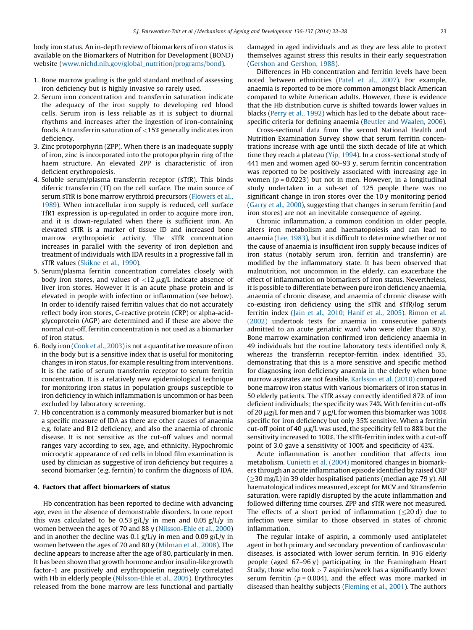body iron status. An in-depth review of biomarkers of iron status is available on the Biomarkers of Nutrition for Development (BOND) website [\(www.nichd.nih.gov/global\\_nutrition/programs/bond](http://www.nichd.nih.gov/global_nutrition/programs/bond)).

- 1. Bone marrow grading is the gold standard method of assessing iron deficiency but is highly invasive so rarely used.
- 2. Serum iron concentration and transferrin saturation indicate the adequacy of the iron supply to developing red blood cells. Serum iron is less reliable as it is subject to diurnal rhythms and increases after the ingestion of iron-containing foods. A transferrin saturation of <15% generally indicates iron deficiency.
- 3. Zinc protoporphyrin (ZPP). When there is an inadequate supply of iron, zinc is incorporated into the protoporphyrin ring of the haem structure. An elevated ZPP is characteristic of iron deficient erythropoiesis.
- 4. Soluble serum/plasma transferrin receptor (sTfR). This binds diferric transferrin (Tf) on the cell surface. The main source of serum sTfR is bone marrow erythroid precursors ([Flowers et al.,](#page-5-0) [1989\)](#page-5-0). When intracellular iron supply is reduced, cell surface TfR1 expression is up-regulated in order to acquire more iron, and it is down-regulated when there is sufficient iron. An elevated sTfR is a marker of tissue ID and increased bone marrow erythropoietic activity. The sTfR concentration increases in parallel with the severity of iron depletion and treatment of individuals with IDA results in a progressive fall in sTfR values [\(Skikne et al., 1990](#page-6-0)).
- 5. Serum/plasma ferritin concentration correlates closely with body iron stores, and values of  $\langle 12 \mu g/L \rangle$  indicate absence of liver iron stores. However it is an acute phase protein and is elevated in people with infection or inflammation (see below). In order to identify raised ferritin values that do not accurately reflect body iron stores, C-reactive protein (CRP) or alpha-acidglycoprotein (AGP) are determined and if these are above the normal cut-off, ferritin concentration is not used as a biomarker of iron status.
- 6. Body iron [\(Cook et al., 2003](#page-5-0)) is not a quantitative measure of iron in the body but is a sensitive index that is useful for monitoring changes in iron status, for example resulting from interventions. It is the ratio of serum transferrin receptor to serum ferritin concentration. It is a relatively new epidemiological technique for monitoring iron status in population groups susceptible to iron deficiency in which inflammation is uncommon or has been excluded by laboratory screening.
- 7. Hb concentration is a commonly measured biomarker but is not a specific measure of IDA as there are other causes of anaemia e.g. folate and B12 deficiency, and also the anaemia of chronic disease. It is not sensitive as the cut-off values and normal ranges vary according to sex, age, and ethnicity. Hypochromic microcytic appearance of red cells in blood film examination is used by clinician as suggestive of iron deficiency but requires a second biomarker (e.g. ferritin) to confirm the diagnosis of IDA.

## 4. Factors that affect biomarkers of status

Hb concentration has been reported to decline with advancing age, even in the absence of demonstrable disorders. In one report this was calculated to be 0.53  $g/L/y$  in men and 0.05  $g/L/y$  in women between the ages of 70 and 88 y ([Nilsson-Ehle et al., 2000\)](#page-5-0) and in another the decline was 0.1  $g/L/y$  in men and 0.09  $g/L/y$  in women between the ages of 70 and 80 y ([Milman et al., 2008\)](#page-5-0). The decline appears to increase after the age of 80, particularly in men. It has been shown that growth hormone and/or insulin-like growth factor-1 are positively and erythropoietin negatively correlated with Hb in elderly people ([Nilsson-Ehle et al., 2005\)](#page-5-0). Erythrocytes released from the bone marrow are less functional and partially damaged in aged individuals and as they are less able to protect themselves against stress this results in their early sequestration ([Gershon and Gershon, 1988](#page-5-0)).

Differences in Hb concentration and ferritin levels have been noted between ethnicities ([Patel et al., 2007\)](#page-5-0). For example, anaemia is reported to be more common amongst black American compared to white American adults. However, there is evidence that the Hb distribution curve is shifted towards lower values in blacks ([Perry et al., 1992](#page-6-0)) which has led to the debate about racespecific criteria for defining anaemia ([Beutler and Waalen, 2006\)](#page-5-0).

Cross-sectional data from the second National Health and Nutrition Examination Survey show that serum ferritin concentrations increase with age until the sixth decade of life at which time they reach a plateau ([Yip, 1994](#page-6-0)). In a cross-sectional study of 441 men and women aged 60–93 y, serum ferritin concentration was reported to be positively associated with increasing age in women ( $p = 0.0223$ ) but not in men. However, in a longitudinal study undertaken in a sub-set of 125 people there was no significant change in iron stores over the 10 y monitoring period ([Garry et al., 2000\)](#page-5-0), suggesting that changes in serum ferritin (and iron stores) are not an inevitable consequence of ageing.

Chronic inflammation, a common condition in older people, alters iron metabolism and haematopoiesis and can lead to anaemia [\(Lee, 1983\)](#page-5-0), but it is difficult to determine whether or not the cause of anaemia is insufficient iron supply because indices of iron status (notably serum iron, ferritin and transferrin) are modified by the inflammatory state. It has been observed that malnutrition, not uncommon in the elderly, can exacerbate the effect of inflammation on biomarkers of iron status. Nevertheless, it is possible to differentiate between pure iron deficiency anaemia, anaemia of chronic disease, and anaemia of chronic disease with co-existing iron deficiency using the sTfR and sTfR/log serum ferritin index ([Jain et al., 2010; Hanif et al., 2005](#page-5-0)). [Rimon et al.](#page-6-0) [\(2002\)](#page-6-0) undertook tests for anaemia in consecutive patients admitted to an acute geriatric ward who were older than 80 y. Bone marrow examination confirmed iron deficiency anaemia in 49 individuals but the routine laboratory tests identified only 8, whereas the transferrin receptor-ferritin index identified 35, demonstrating that this is a more sensitive and specific method for diagnosing iron deficiency anaemia in the elderly when bone marrow aspirates are not feasible. [Karlsson et al. \(2010\)](#page-5-0) compared bone marrow iron status with various biomarkers of iron status in 50 elderly patients. The sTfR assay correctly identified 87% of iron deficient individuals; the specificity was 74%. With ferritin cut-offs of 20  $\mu$ g/L for men and 7  $\mu$ g/L for women this biomarker was 100% specific for iron deficiency but only 35% sensitive. When a ferritin cut-off point of 40 µg/L was used, the specificity fell to 88% but the sensitivity increased to 100%. The sTfR-ferritin index with a cut-off point of 3.0 gave a sensitivity of 100% and specificity of 43%.

Acute inflammation is another condition that affects iron metabolism. [Cunietti et al. \(2004\)](#page-5-0) monitored changes in biomarkers through an acute inflammation episode identified by raised CRP  $(\geq$ 30 mg/L) in 39 older hospitalised patients (median age 79 y). All haematological indices measured, except for MCV and %transferrin saturation, were rapidly disrupted by the acute inflammation and followed differing time courses. ZPP and sTfR were not measured. The effects of a short period of inflammation  $(\leq 20 d)$  due to infection were similar to those observed in states of chronic inflammation.

The regular intake of aspirin, a commonly used antiplatelet agent in both primary and secondary prevention of cardiovascular diseases, is associated with lower serum ferritin. In 916 elderly people (aged 67–96 y) participating in the Framingham Heart Study, those who took  $>$  7 aspirins/week has a significantly lower serum ferritin ( $p = 0.004$ ), and the effect was more marked in diseased than healthy subjects [\(Fleming et al., 2001\)](#page-5-0). The authors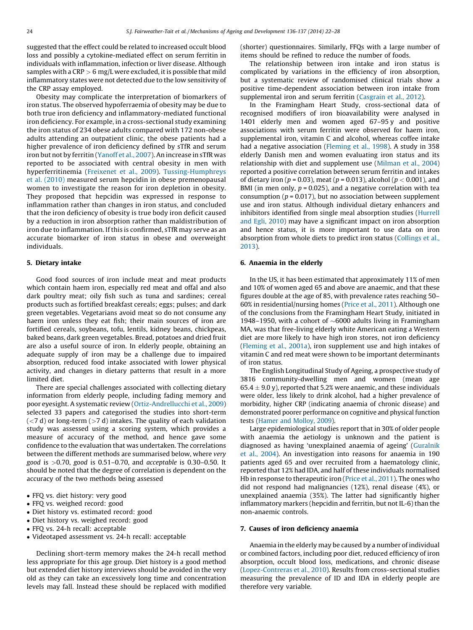suggested that the effect could be related to increased occult blood loss and possibly a cytokine-mediated effect on serum ferritin in individuals with inflammation, infection or liver disease. Although samples with a  $CRP > 6$  mg/L were excluded, it is possible that mild inflammatory states were not detected due to the low sensitivity of the CRP assay employed.

Obesity may complicate the interpretation of biomarkers of iron status. The observed hypoferraemia of obesity may be due to both true iron deficiency and inflammatory-mediated functional iron deficiency. For example, in a cross-sectional study examining the iron status of 234 obese adults compared with 172 non-obese adults attending an outpatient clinic, the obese patients had a higher prevalence of iron deficiency defined by sTfR and serum iron but not by ferritin ([Yanoff et al., 2007](#page-6-0)). An increase in sTfR was reported to be associated with central obesity in men with hyperferritinemia [\(Freixenet et al., 2009\)](#page-5-0). [Tussing-Humphreys](#page-6-0) [et al. \(2010\)](#page-6-0) measured serum hepcidin in obese premenopausal women to investigate the reason for iron depletion in obesity. They proposed that hepcidin was expressed in response to inflammation rather than changes in iron status, and concluded that the iron deficiency of obesity is true body iron deficit caused by a reduction in iron absorption rather than maldistribution of iron due to inflammation. If this is confirmed, sTfR may serve as an accurate biomarker of iron status in obese and overweight individuals.

## 5. Dietary intake

Good food sources of iron include meat and meat products which contain haem iron, especially red meat and offal and also dark poultry meat; oily fish such as tuna and sardines; cereal products such as fortified breakfast cereals; eggs; pulses; and dark green vegetables. Vegetarians avoid meat so do not consume any haem iron unless they eat fish; their main sources of iron are fortified cereals, soybeans, tofu, lentils, kidney beans, chickpeas, baked beans, dark green vegetables. Bread, potatoes and dried fruit are also a useful source of iron. In elderly people, obtaining an adequate supply of iron may be a challenge due to impaired absorption, reduced food intake associated with lower physical activity, and changes in dietary patterns that result in a more limited diet.

There are special challenges associated with collecting dietary information from elderly people, including fading memory and poor eyesight. A systematic review ([Ortiz-Andrellucchi et al., 2009\)](#page-5-0) selected 33 papers and categorised the studies into short-term  $(*7 d*)$  or long-term  $(*7 d*)$  intakes. The quality of each validation study was assessed using a scoring system, which provides a measure of accuracy of the method, and hence gave some confidence to the evaluation that was undertaken. The correlations between the different methods are summarised below, where very good is  $>0.70$ , good is 0.51–0.70, and acceptable is 0.30–0.50. It should be noted that the degree of correlation is dependent on the accuracy of the two methods being assessed

- FFQ vs. diet history: very good
- FFQ vs. weighed record: good
- Diet history vs. estimated record: good
- Diet history vs. weighed record: good
- FFQ vs. 24-h recall: acceptable
- Videotaped assessment vs. 24-h recall: acceptable

Declining short-term memory makes the 24-h recall method less appropriate for this age group. Diet history is a good method but extended diet history interviews should be avoided in the very old as they can take an excessively long time and concentration levels may fall. Instead these should be replaced with modified (shorter) questionnaires. Similarly, FFQs with a large number of items should be refined to reduce the number of foods.

The relationship between iron intake and iron status is complicated by variations in the efficiency of iron absorption, but a systematic review of randomised clinical trials show a positive time-dependent association between iron intake from supplemental iron and serum ferritin ([Casgrain et al., 2012\)](#page-5-0).

In the Framingham Heart Study, cross-sectional data of recognised modifiers of iron bioavailability were analysed in 1401 elderly men and women aged 67–95 y and positive associations with serum ferritin were observed for haem iron, supplemental iron, vitamin C and alcohol, whereas coffee intake had a negative association [\(Fleming et al., 1998](#page-5-0)). A study in 358 elderly Danish men and women evaluating iron status and its relationship with diet and supplement use ([Milman et al., 2004\)](#page-5-0) reported a positive correlation between serum ferritin and intakes of dietary iron ( $p = 0.03$ ), meat ( $p = 0.013$ ), alcohol ( $p < 0.001$ ), and BMI (in men only,  $p = 0.025$ ), and a negative correlation with tea consumption ( $p = 0.017$ ), but no association between supplement use and iron status. Although individual dietary enhancers and inhibitors identified from single meal absorption studies ([Hurrell](#page-5-0) [and Egli, 2010\)](#page-5-0) may have a significant impact on iron absorption and hence status, it is more important to use data on iron absorption from whole diets to predict iron status [\(Collings et al.,](#page-5-0) [2013\)](#page-5-0).

#### 6. Anaemia in the elderly

In the US, it has been estimated that approximately 11% of men and 10% of women aged 65 and above are anaemic, and that these figures double at the age of 85, with prevalence rates reaching 50– 60% in residential/nursing homes ([Price et al., 2011\)](#page-6-0). Although one of the conclusions from the Framingham Heart Study, initiated in 1948–1950, with a cohort of  $\sim$  6000 adults living in Framingham MA, was that free-living elderly white American eating a Western diet are more likely to have high iron stores, not iron deficiency ([Fleming et al., 2001a](#page-5-0)), iron supplement use and high intakes of vitamin C and red meat were shown to be important determinants of iron status.

The English Longitudinal Study of Ageing, a prospective study of 3816 community-dwelling men and women (mean age  $65.4 \pm 9.0$  y), reported that 5.2% were anaemic, and these individuals were older, less likely to drink alcohol, had a higher prevalence of morbidity, higher CRP (indicating anaemia of chronic disease) and demonstrated poorer performance on cognitive and physical function tests ([Hamer and Molloy, 2009\)](#page-5-0).

Large epidemiological studies report that in 30% of older people with anaemia the aetiology is unknown and the patient is diagnosed as having 'unexplained anaemia of ageing' ([Guralnik](#page-5-0) [et al., 2004\)](#page-5-0). An investigation into reasons for anaemia in 190 patients aged 65 and over recruited from a haematology clinic, reported that 12% had IDA, and half of these individuals normalised Hb in response to therapeutic iron ([Price et al., 2011\)](#page-6-0). The ones who did not respond had malignancies (12%), renal disease (4%), or unexplained anaemia (35%). The latter had significantly higher inflammatory markers (hepcidin and ferritin, but not IL-6) than the non-anaemic controls.

#### 7. Causes of iron deficiency anaemia

Anaemia in the elderly may be caused by a number of individual or combined factors, including poor diet, reduced efficiency of iron absorption, occult blood loss, medications, and chronic disease ([Lopez-Contreras et al., 2010](#page-5-0)). Results from cross-sectional studies measuring the prevalence of ID and IDA in elderly people are therefore very variable.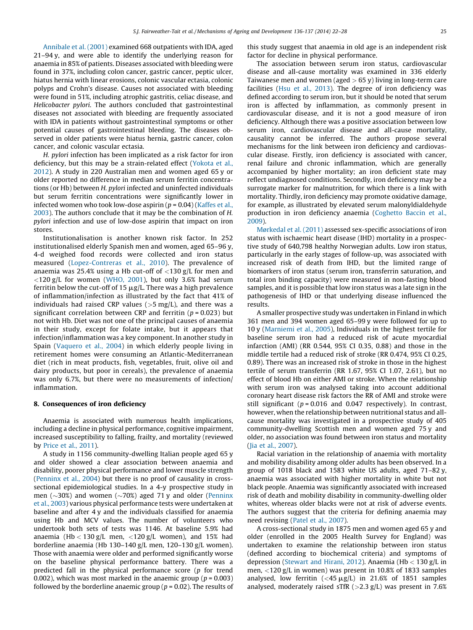[Annibale et al. \(2001\)](#page-5-0) examined 668 outpatients with IDA, aged 21–94 y, and were able to identify the underlying reason for anaemia in 85% of patients. Diseases associated with bleeding were found in 37%, including colon cancer, gastric cancer, peptic ulcer, hiatus hernia with linear erosions, colonic vascular ectasia, colonic polyps and Crohn's disease. Causes not associated with bleeding were found in 51%, including atrophic gastritis, celiac disease, and Helicobacter pylori. The authors concluded that gastrointestinal diseases not associated with bleeding are frequently associated with IDA in patients without gastrointestinal symptoms or other potential causes of gastrointestinal bleeding. The diseases observed in older patients were hiatus hernia, gastric cancer, colon cancer, and colonic vascular ectasia.

H. pylori infection has been implicated as a risk factor for iron deficiency, but this may be a strain-related effect ([Yokota et al.,](#page-6-0) [2012\)](#page-6-0). A study in 220 Australian men and women aged 65 y or older reported no difference in median serum ferritin concentrations (or Hb) between H. pylori infected and uninfected individuals but serum ferritin concentrations were significantly lower in infected women who took low-dose aspirin  $(p = 0.04)$  ([Kaffes et al.,](#page-5-0) [2003\)](#page-5-0). The authors conclude that it may be the combination of H. pylori infection and use of low-dose aspirin that impact on iron stores.

Institutionalisation is another known risk factor. In 252 institutionalised elderly Spanish men and women, aged 65–96 y, 4-d weighed food records were collected and iron status measured ([Lopez-Contreras et al., 2010\)](#page-5-0). The prevalence of anaemia was 25.4% using a Hb cut-off of  $\langle$ 130 g/L for men and  $\langle 120 \text{ g/L}$  for women ([WHO, 2001\)](#page-6-0), but only 3.6% had serum ferritin below the cut-off of 15  $\mu$ g/L. There was a high prevalence of inflammation/infection as illustrated by the fact that 41% of individuals had raised CRP values ( $>5$  mg/L), and there was a significant correlation between CRP and ferritin ( $p = 0.023$ ) but not with Hb. Diet was not one of the principal causes of anaemia in their study, except for folate intake, but it appears that infection/inflammation was a key component. In another study in Spain ([Vaquero et al., 2004](#page-6-0)) in which elderly people living in retirement homes were consuming an Atlantic-Mediterranean diet (rich in meat products, fish, vegetables, fruit, olive oil and dairy products, but poor in cereals), the prevalence of anaemia was only 6.7%, but there were no measurements of infection/ inflammation.

#### 8. Consequences of iron deficiency

Anaemia is associated with numerous health implications, including a decline in physical performance, cognitive impairment, increased susceptibility to falling, frailty, and mortality (reviewed by [Price et al., 2011](#page-6-0)).

A study in 1156 community-dwelling Italian people aged 65 y and older showed a clear association between anaemia and disability, poorer physical performance and lower muscle strength ([Penninx et al., 2004\)](#page-6-0) but there is no proof of causality in crosssectional epidemiological studies. In a 4-y prospective study in men ( $\sim$ 30%) and women ( $\sim$ 70%) aged 71 y and older ([Penninx](#page-6-0) [et al., 2003\)](#page-6-0) various physical performance tests were undertaken at baseline and after 4 y and the individuals classified for anaemia using Hb and MCV values. The number of volunteers who undertook both sets of tests was 1146. At baseline 5.9% had anaemia (Hb < 130 g/L men, <120 g/L women), and 15% had borderline anaemia (Hb 130–140 g/L men, 120–130 g/L women). Those with anaemia were older and performed significantly worse on the baseline physical performance battery. There was a predicted fall in the physical performance score  $(p$  for trend 0.002), which was most marked in the anaemic group ( $p = 0.003$ ) followed by the borderline anaemic group ( $p = 0.02$ ). The results of this study suggest that anaemia in old age is an independent risk factor for decline in physical performance.

The association between serum iron status, cardiovascular disease and all-cause mortality was examined in 336 elderly Taiwanese men and women (aged  $> 65$  y) living in long-term care facilities ([Hsu et al., 2013\)](#page-5-0). The degree of iron deficiency was defined according to serum iron, but it should be noted that serum iron is affected by inflammation, as commonly present in cardiovascular disease, and it is not a good measure of iron deficiency. Although there was a positive association between low serum iron, cardiovascular disease and all-cause mortality, causality cannot be inferred. The authors propose several mechanisms for the link between iron deficiency and cardiovascular disease. Firstly, iron deficiency is associated with cancer, renal failure and chronic inflammation, which are generally accompanied by higher mortality; an iron deficient state may reflect undiagnosed conditions. Secondly, iron deficiency may be a surrogate marker for malnutrition, for which there is a link with mortality. Thirdly, iron deficiency may promote oxidative damage, for example, as illustrated by elevated serum malonyldialdehyde production in iron deficiency anaemia [\(Coghetto Baccin et al.,](#page-5-0) [2009\)](#page-5-0).

[Mørkedal et al. \(2011\)](#page-5-0) assessed sex-specific associations of iron status with ischaemic heart disease (IHD) mortality in a prospective study of 640,798 healthy Norwegian adults. Low iron status, particularly in the early stages of follow-up, was associated with increased risk of death from IHD, but the limited range of biomarkers of iron status (serum iron, transferrin saturation, and total iron binding capacity) were measured in non-fasting blood samples, and it is possible that low iron status was a late sign in the pathogenesis of IHD or that underlying disease influenced the results.

A smaller prospective study was undertaken in Finland in which 361 men and 394 women aged 65–99 y were followed for up to 10 y (Marniemi [et al., 2005\)](#page-5-0), Individuals in the highest tertile for baseline serum iron had a reduced risk of acute myocardial infarction (AMI) (RR 0.544, 95% CI 0.35, 0.88) and those in the middle tertile had a reduced risk of stroke (RR 0.474, 95% CI 0.25, 0.89). There was an increased risk of stroke in those in the highest tertile of serum transferrin (RR 1.67, 95% CI 1.07, 2.61), but no effect of blood Hb on either AMI or stroke. When the relationship with serum iron was analysed taking into account additional coronary heart disease risk factors the RR of AMI and stroke were still significant ( $p = 0.016$  and 0.047 respectively). In contrast, however, when the relationship between nutritional status and allcause mortality was investigated in a prospective study of 405 community-dwelling Scottish men and women aged 75 y and older, no association was found between iron status and mortality ([Jia et al., 2007\)](#page-5-0).

Racial variation in the relationship of anaemia with mortality and mobility disability among older adults has been observed. In a group of 1018 black and 1583 white US adults, aged 71–82 y, anaemia was associated with higher mortality in white but not black people. Anaemia was significantly associated with increased risk of death and mobility disability in community-dwelling older whites, whereas older blacks were not at risk of adverse events. The authors suggest that the criteria for defining anaemia may need revising ([Patel et al., 2007](#page-5-0)).

A cross-sectional study in 1875 men and women aged 65 y and older (enrolled in the 2005 Health Survey for England) was undertaken to examine the relationship between iron status (defined according to biochemical criteria) and symptoms of depression ([Stewart and Hirani, 2012\)](#page-6-0). Anaemia (Hb < 130 g/L in men, <120 g/L in women) was present in 10.8% of 1833 samples analysed, low ferritin  $\left( \langle 45 \mu g | L \rangle \right)$  in 21.6% of 1851 samples analysed, moderately raised sTfR  $(>2.3 \text{ g/L})$  was present in 7.6%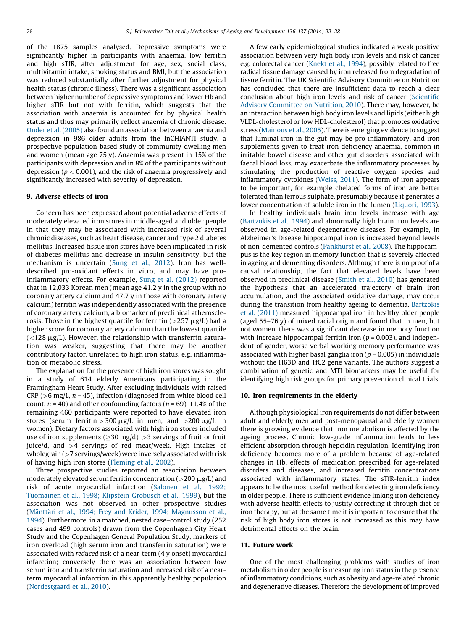of the 1875 samples analysed. Depressive symptoms were significantly higher in participants with anaemia, low ferritin and high sTfR, after adjustment for age, sex, social class, multivitamin intake, smoking status and BMI, but the association was reduced substantially after further adjustment for physical health status (chronic illness). There was a significant association between higher number of depressive symptoms and lower Hb and higher sTfR but not with ferritin, which suggests that the association with anaemia is accounted for by physical health status and thus may primarily reflect anaemia of chronic disease. [Onder et al. \(2005\)](#page-5-0) also found an association between anaemia and depression in 986 older adults from the InCHIANTI study, a prospective population-based study of community-dwelling men and women (mean age 75 y). Anaemia was present in 15% of the participants with depression and in 8% of the participants without depression ( $p < 0.001$ ), and the risk of anaemia progressively and significantly increased with severity of depression.

#### 9. Adverse effects of iron

Concern has been expressed about potential adverse effects of moderately elevated iron stores in middle-aged and older people in that they may be associated with increased risk of several chronic diseases, such as heart disease, cancer and type 2 diabetes mellitus. Increased tissue iron stores have been implicated in risk of diabetes mellitus and decrease in insulin sensitivity, but the mechanism is uncertain [\(Sung et al., 2012\)](#page-6-0). Iron has welldescribed pro-oxidant effects in vitro, and may have proinflammatory effects. For example, [Sung et al. \(2012\)](#page-6-0) reported that in 12,033 Korean men (mean age 41.2 y in the group with no coronary artery calcium and 47.7 y in those with coronary artery calcium) ferritin was independently associated with the presence of coronary artery calcium, a biomarker of preclinical atherosclerosis. Those in the highest quartile for ferritin ( $>$ 257  $\mu$ g/L) had a higher score for coronary artery calcium than the lowest quartile  $\left($  <128  $\mu$ g/L). However, the relationship with transferrin saturation was weaker, suggesting that there may be another contributory factor, unrelated to high iron status, e.g. inflammation or metabolic stress.

The explanation for the presence of high iron stores was sought in a study of 614 elderly Americans participating in the Framingham Heart Study. After excluding individuals with raised  $CRP (>6 mg/L, n = 45)$ , infection (diagnosed from white blood cell count,  $n = 40$ ) and other confounding factors ( $n = 69$ ), 11.4% of the remaining 460 participants were reported to have elevated iron stores (serum ferritin > 300  $\mu$ g/L in men, and > 200  $\mu$ g/L in women). Dietary factors associated with high iron stores included use of iron supplements ( $\geq$ 30 mg/d),  $>$ 3 servings of fruit or fruit juice/d, and >4 servings of red meat/week. High intakes of wholegrain (>7 servings/week) were inversely associated with risk of having high iron stores [\(Fleming et al., 2002](#page-5-0)).

Three prospective studies reported an association between moderately elevated serum ferritin concentration ( $>$ 200  $\mu$ g/L) and risk of acute myocardial infarction ([Salonen et al., 1992;](#page-6-0) [Tuomainen et al., 1998; Klipstein-Grobusch et al., 1999\)](#page-6-0), but the association was not observed in other prospective studies (Mänttä[ri et al., 1994; Frey and Krider, 1994; Magnusson et al.,](#page-5-0) [1994](#page-5-0)). Furthermore, in a matched, nested case–control study (252 cases and 499 controls) drawn from the Copenhagen City Heart Study and the Copenhagen General Population Study, markers of iron overload (high serum iron and transferrin saturation) were associated with reduced risk of a near-term (4 y onset) myocardial infarction; conversely there was an association between low serum iron and transferrin saturation and increased risk of a nearterm myocardial infarction in this apparently healthy population ([Nordestgaard et al., 2010\)](#page-5-0).

A few early epidemiological studies indicated a weak positive association between very high body iron levels and risk of cancer e.g. colorectal cancer [\(Knekt et al., 1994](#page-5-0)), possibly related to free radical tissue damage caused by iron released from degradation of tissue ferritin. The UK Scientific Advisory Committee on Nutrition has concluded that there are insufficient data to reach a clear conclusion about high iron levels and risk of cancer ([Scientific](#page-6-0) [Advisory Committee on Nutrition, 2010\)](#page-6-0). There may, however, be an interaction between high body iron levels and lipids (either high VLDL-cholesterol or low HDL-cholesterol) that promotes oxidative stress [\(Mainous et al., 2005\)](#page-5-0). There is emerging evidence to suggest that luminal iron in the gut may be pro-inflammatory, and iron supplements given to treat iron deficiency anaemia, common in irritable bowel disease and other gut disorders associated with faecal blood loss, may exacerbate the inflammatory processes by stimulating the production of reactive oxygen species and inflammatory cytokines ([Weiss, 2011\)](#page-6-0). The form of iron appears to be important, for example chelated forms of iron are better tolerated than ferrous sulphate, presumably because it generates a lower concentration of soluble iron in the lumen ([Liquori, 1993\)](#page-5-0).

In healthy individuals brain iron levels increase with age ([Bartzokis et al., 1994\)](#page-5-0) and abnormally high brain iron levels are observed in age-related degenerative diseases. For example, in Alzheimer's Disease hippocampal iron is increased beyond levels of non-demented controls [\(Pankhurst et al., 2008](#page-5-0)). The hippocampus is the key region in memory function that is severely affected in ageing and dementing disorders. Although there is no proof of a causal relationship, the fact that elevated levels have been observed in preclinical disease [\(Smith et al., 2010](#page-6-0)) has generated the hypothesis that an accelerated trajectory of brain iron accumulation, and the associated oxidative damage, may occur during the transition from healthy ageing to dementia. [Bartzokis](#page-5-0) [et al. \(2011\)](#page-5-0) measured hippocampal iron in healthy older people (aged 55–76 y) of mixed racial origin and found that in men, but not women, there was a significant decrease in memory function with increase hippocampal ferritin iron ( $p = 0.003$ ), and independent of gender, worse verbal working memory performance was associated with higher basal ganglia iron ( $p = 0.005$ ) in individuals without the H63D and TfC2 gene variants. The authors suggest a combination of genetic and MTI biomarkers may be useful for identifying high risk groups for primary prevention clinical trials.

#### 10. Iron requirements in the elderly

Although physiological iron requirements do not differ between adult and elderly men and post-menopausal and elderly women there is growing evidence that iron metabolism is affected by the ageing process. Chronic low-grade inflammation leads to less efficient absorption through hepcidin regulation. Identifying iron deficiency becomes more of a problem because of age-related changes in Hb, effects of medication prescribed for age-related disorders and diseases, and increased ferritin concentrations associated with inflammatory states. The sTfR-ferritin index appears to be the most useful method for detecting iron deficiency in older people. There is sufficient evidence linking iron deficiency with adverse health effects to justify correcting it through diet or iron therapy, but at the same time it is important to ensure that the risk of high body iron stores is not increased as this may have detrimental effects on the brain.

#### 11. Future work

One of the most challenging problems with studies of iron metabolism in older people is measuring iron status in the presence of inflammatory conditions, such as obesity and age-related chronic and degenerative diseases. Therefore the development of improved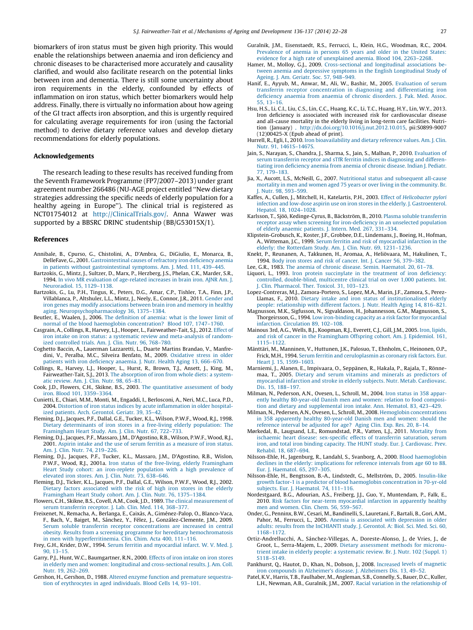<span id="page-5-0"></span>biomarkers of iron status must be given high priority. This would enable the relationships between anaemia and iron deficiency and chronic diseases to be characterised more accurately and causality clarified, and would also facilitate research on the potential links between iron and dementia. There is still some uncertainty about iron requirements in the elderly, confounded by effects of inflammation on iron status, which better biomarkers would help address. Finally, there is virtually no information about how ageing of the GI tract affects iron absorption, and this is urgently required for calculating average requirements for iron (using the factorial method) to derive dietary reference values and develop dietary recommendations for elderly populations.

#### Acknowledgements

The research leading to these results has received funding from the Seventh Framework Programme (FP7/2007–2013) under grant agreement number 266486 (NU-AGE project entitled ''New dietary strategies addressing the specific needs of elderly population for a healthy ageing in Europe''). The clinical trial is registered as NCT01754012 at [http://ClinicalTrials.gov/.](http://clinicaltrials.gov/) Anna Wawer was supported by a BBSRC DRINC studentship (BB/G53015X/1).

#### References

- Annibale, B., Cpurso, G., Chistolini, A., D'Ambra, G., DiGiulio, E., Monarca, B., DelleFave, G., 2001. [Gastrointestinal causes of refractory iron deficiency anemia](http://refhub.elsevier.com/S0047-6374(13)00124-3/sbref0005) [in patients without gastrointestinal symptoms. Am. J. Med. 111, 439–445](http://refhub.elsevier.com/S0047-6374(13)00124-3/sbref0005).
- Bartzokis, G., Mintz, J., Sultzer, D., Marx, P., Herzberg, J.S., Phelan, C.K., Marder, S.R., 1994. [In vivo MR evaluation of age-related increases in brain iron. AJNR Am. J.](http://refhub.elsevier.com/S0047-6374(13)00124-3/sbref0010) [Neuroradiol. 15, 1129–1138](http://refhub.elsevier.com/S0047-6374(13)00124-3/sbref0010).
- Bartzokis, G., Lu, P.H., Tingus, K., Peters, D.G., Amar, C.P., Tishler, T.A., Finn, J.P., Villablanca, P., Altshuler, L.L., Mintz, J., Neely, E., Connor, J.R., 2011. [Gender and](http://refhub.elsevier.com/S0047-6374(13)00124-3/sbref0020) [iron genes may modify associations between brain iron and memory in healthy](http://refhub.elsevier.com/S0047-6374(13)00124-3/sbref0020) [aging. Neuropsychopharmacology 36, 1375–1384](http://refhub.elsevier.com/S0047-6374(13)00124-3/sbref0020).
- Beutler, E., Waalen, J., 2006. [The definition of anemia: what is the lower limit of](http://refhub.elsevier.com/S0047-6374(13)00124-3/sbref0025) [normal of the blood haemoglobin concentration? Blood 107, 1747–1760.](http://refhub.elsevier.com/S0047-6374(13)00124-3/sbref0025)
- Casgrain, A., Collings, R., Harvey, L.J., Hooper, L., Fairweather-Tait, S.J., 2012. [Effect of](http://refhub.elsevier.com/S0047-6374(13)00124-3/sbref0030) [iron intake on iron status: a systematic review and meta-analysis of random](http://refhub.elsevier.com/S0047-6374(13)00124-3/sbref0030)[ized controlled trials. Am. J. Clin. Nutr. 96, 768–780.](http://refhub.elsevier.com/S0047-6374(13)00124-3/sbref0030)
- Coghetto Baccin, A., Lauerman Lazzaretti, L., Duarte Martins Brandao, V., Manfredini, V., Peralba, M.C., Silveira Benfato, M., 2009. [Oxidative stress in older](http://refhub.elsevier.com/S0047-6374(13)00124-3/sbref0035) [patients with iron deficiency anaemia. J. Nutr. Health Aging 13, 666–670.](http://refhub.elsevier.com/S0047-6374(13)00124-3/sbref0035)
- Collings, R., Harvey, L.J., Hooper, L., Hurst, R., Brown, T.J., Ansett, J., King, M., Fairweather-Tait, S.J., 2013. [The absorption of iron from whole diets: a system-](http://refhub.elsevier.com/S0047-6374(13)00124-3/sbref1035)[atic review. Am. J. Clin. Nutr. 98, 65–81](http://refhub.elsevier.com/S0047-6374(13)00124-3/sbref1035).
- Cook, J.D., Flowers, C.H., Skikne, B.S., 2003. [The quantitative assessment of body](http://refhub.elsevier.com/S0047-6374(13)00124-3/sbref0045) [iron. Blood 101, 3359–3364](http://refhub.elsevier.com/S0047-6374(13)00124-3/sbref0045).
- Cunietti, E., Chiari, M.M., Monti, M., Engaddi, I., Berlosconi, A., Neri, M.C., Luca, P.D., 2004. [Distortion of iron status indices by acute inflammation in older hospital](http://refhub.elsevier.com/S0047-6374(13)00124-3/sbref0050)[ized patients. Arch. Gerontol. Geriatr. 39, 35–42.](http://refhub.elsevier.com/S0047-6374(13)00124-3/sbref0050)
- Fleming, D.J., Jacques, P.F., Dallal, G.E., Tucker, K.L., Wilson, P.W.F., Wood, R.J., 1998. [Dietary determinants of iron stores in a free-living elderly population: The](http://refhub.elsevier.com/S0047-6374(13)00124-3/sbref0055) [Framingham Heart Study. Am. J. Clin. Nutr. 67, 722–733.](http://refhub.elsevier.com/S0047-6374(13)00124-3/sbref0055)
- Fleming, D.J., Jacques, P.F., Massaro, J.M., D'Agostino, R.B., Wilson, P.W.F., Wood, R.J., 2001. [Aspirin intake and the use of serum ferritin as a measure of iron status.](http://refhub.elsevier.com/S0047-6374(13)00124-3/sbref0060) [Am. J. Clin. Nutr. 74, 219–226.](http://refhub.elsevier.com/S0047-6374(13)00124-3/sbref0060)
- Fleming, D.J., Jacques, P.F., Tucker, K.L., Massaro, J.M., D'Agostino, R.B., Wislon, P.W.F., Wood, R.J., 2001a. [Iron status of the free-living, elderly Framingham](http://refhub.elsevier.com/S0047-6374(13)00124-3/sbref0065) [Heart Study cohort: an iron-replete population with a high prevalence of](http://refhub.elsevier.com/S0047-6374(13)00124-3/sbref0065) [elevated iron stores. Am. J. Clin. Nutr. 73, 638–646.](http://refhub.elsevier.com/S0047-6374(13)00124-3/sbref0065)
- Fleming, D.J., Ticker, K.L., Jacques, P.F., Dallal, G.E., Wilson, P.W.F., Wood, R.J., 2002. [Dietary factors associated with the risk of high iron stores in the elderly](http://refhub.elsevier.com/S0047-6374(13)00124-3/sbref0070) [Framingham Heart Study cohort. Am. J. Clin. Nutr. 76, 1375–1384](http://refhub.elsevier.com/S0047-6374(13)00124-3/sbref0070).
- Flowers, C.H., Skikne, B.S., Covell, A.M., Cook, J.D., 1989. [The clinical measurement of](http://refhub.elsevier.com/S0047-6374(13)00124-3/sbref0075) [serum transferrin receptor. J. Lab. Clin. Med. 114, 368–377](http://refhub.elsevier.com/S0047-6374(13)00124-3/sbref0075).
- Freixenet, N., Remacha, A., Berlanga, E., Caixàs, A., Giménez-Palop, O., Blanco-Vaca, F., Bach, V., Baiget, M., Sánchez, Y., Félez, J., González-Clemente, J.M., 2009. [Serum soluble transferrin receptor concentrations are increased in central](http://refhub.elsevier.com/S0047-6374(13)00124-3/sbref0080) [obesity. Results from a screening programme for hereditary hemochromatosis](http://refhub.elsevier.com/S0047-6374(13)00124-3/sbref0080) [in men with hyperferritinemia. Clin. Chim. Acta 400, 111–116.](http://refhub.elsevier.com/S0047-6374(13)00124-3/sbref0080)
- Frey, G.H., Krider, D.W., 1994. [Serum ferritin and myocardial infarct. W. V. Med. J.](http://refhub.elsevier.com/S0047-6374(13)00124-3/sbref0085) [90, 13–15](http://refhub.elsevier.com/S0047-6374(13)00124-3/sbref0085).
- Garry, P.J., Hunt, W.C., Baumgartner, R.N., 2000. [Effects of iron intake on iron stores](http://refhub.elsevier.com/S0047-6374(13)00124-3/sbref0090) [in elderly men and women: longitudinal and cross-sectional results. J. Am. Coll.](http://refhub.elsevier.com/S0047-6374(13)00124-3/sbref0090) [Nutr. 19, 262–269.](http://refhub.elsevier.com/S0047-6374(13)00124-3/sbref0090)
- Gershon, H., Gershon, D., 1988. [Altered enzyme function and premature sequestra](http://refhub.elsevier.com/S0047-6374(13)00124-3/sbref0095)[tion of erythrocytes in aged individuals. Blood Cells 14, 93–101](http://refhub.elsevier.com/S0047-6374(13)00124-3/sbref0095).
- Guralnik, J.M., Eisenstaedt, R.S., Ferrucci, L., Klein, H.G., Woodman, R.C., 2004. [Prevalence of anemia in persons 65 years and older in the United States:](http://refhub.elsevier.com/S0047-6374(13)00124-3/sbref0100) [evidence for a high rate of unexplained anemia. Blood 104, 2263–2268.](http://refhub.elsevier.com/S0047-6374(13)00124-3/sbref0100)
- Hamer, M., Molloy, G.J., 2009. [Cross-sectional and longitudinal associations be](http://refhub.elsevier.com/S0047-6374(13)00124-3/sbref0105)[tween anemia and depressive symptoms in the English Longitudinal Study of](http://refhub.elsevier.com/S0047-6374(13)00124-3/sbref0105) [Ageing. J. Am. Geriatr. Soc. 57, 948–949](http://refhub.elsevier.com/S0047-6374(13)00124-3/sbref0105).
- Hanif, E., Ayyub, M., Anwar, M., Ali, W., Bashir, M., 2005. [Evaluation of serum](http://refhub.elsevier.com/S0047-6374(13)00124-3/sbref0110) [transferrin receptor concentration in diagnosing and differentiating iron](http://refhub.elsevier.com/S0047-6374(13)00124-3/sbref0110) [deficiency anaemia from anaemia of chronic disorders. J. Pak. Med. Assoc.](http://refhub.elsevier.com/S0047-6374(13)00124-3/sbref0110) [55, 13–16](http://refhub.elsevier.com/S0047-6374(13)00124-3/sbref0110).
- Hsu, H.S., Li, C.I., Liu, C.S., Lin, C.C., Huang, K.C., Li, T.C., Huang, H.Y., Lin, W.Y., 2013. Iron deficiency is associated with increased risk for cardiovascular disease and all-cause mortality in the elderly living in long-term care facilities. Nutrition (January) [, http://dx.doi.org/10.1016/j.nut.2012.10.015,](http://dx.doi.org/10.1016/j.nut.2012.10.015) pii:S0899-9007 (12)00425-X (Epub ahead of print).
- Hurrell, R., Egli, I., 2010. [Iron bioavailability and dietary reference values. Am. J. Clin.](http://refhub.elsevier.com/S0047-6374(13)00124-3/sbref0120) [Nutr. 91, 1461S–1467S.](http://refhub.elsevier.com/S0047-6374(13)00124-3/sbref0120)
- Jain, S., Narayan, S., Chandra, J., Sharma, S., Jain, S., Malhan, P., 2010. [Evaluation of](http://refhub.elsevier.com/S0047-6374(13)00124-3/sbref0125) [serum transferrin receptor and sTfR ferritin indices in diagnosing and differen](http://refhub.elsevier.com/S0047-6374(13)00124-3/sbref0125)[tiating iron deficiency anemia from anemia of chronic disease. Indian J. Pediatr.](http://refhub.elsevier.com/S0047-6374(13)00124-3/sbref0125) [77, 179–183](http://refhub.elsevier.com/S0047-6374(13)00124-3/sbref0125).
- Jia, X., Aucott, L.S., McNeill, G., 2007. Nutritional [status and subsequent all-cause](http://refhub.elsevier.com/S0047-6374(13)00124-3/sbref0130) [mortality in men and women aged 75 years or over living in the community. Br.](http://refhub.elsevier.com/S0047-6374(13)00124-3/sbref0130) [J. Nutr. 98, 593–599.](http://refhub.elsevier.com/S0047-6374(13)00124-3/sbref0130)
- Kaffes, A., Cullen, J., Mitchell, H., Katelartis, P.H., 2003. Effect of [Helicobacter pylori](http://refhub.elsevier.com/S0047-6374(13)00124-3/sbref0135) [infection and low-dose aspirin use on iron stores in the elderly. J. Gastroenterol.](http://refhub.elsevier.com/S0047-6374(13)00124-3/sbref0135) [Hepatol. 18, 1024–1028](http://refhub.elsevier.com/S0047-6374(13)00124-3/sbref0135).
- Karlsson, T., Sjöö, Kedinge-Cyrus, B., Bäckström, B., 2010. [Plasma soluble transferrin](http://refhub.elsevier.com/S0047-6374(13)00124-3/sbref0140) [receptor assay when screening for iron-deficiency in an unselected population](http://refhub.elsevier.com/S0047-6374(13)00124-3/sbref0140) [of elderly anaemic patients. J. Intern. Med. 267, 331–334.](http://refhub.elsevier.com/S0047-6374(13)00124-3/sbref0140)
- Klipstein-Grobusch, K., Koster, J.F., Grobbee, D.E., Lindemans, J., Boeing, H., Hofman, A., Witteman, J.C., 1999. [Serum ferritin and risk of myocardial infarction in the](http://refhub.elsevier.com/S0047-6374(13)00124-3/sbref0145) [elderly: the Rotterdam Study. Am. J. Clin. Nutr. 69, 1231–1236](http://refhub.elsevier.com/S0047-6374(13)00124-3/sbref0145).
- Knekt, P., Reunanen, A., Takkunen, H., Aromaa, A., Heliövaara, M., Hakulinen, T., 1994. [Body iron stores and risk of cancer. Int. J. Cancer 56, 379–382](http://refhub.elsevier.com/S0047-6374(13)00124-3/sbref0150).
- Lee, G.R., 1983. [The anemia of chronic disease. Semin. Haematol. 20, 61–78.](http://refhub.elsevier.com/S0047-6374(13)00124-3/sbref0155)
- Liquori, L., 1993. [Iron protein succinylate in the treatment of iron deficiency:](http://refhub.elsevier.com/S0047-6374(13)00124-3/sbref0160) [controlled, double-blind, multicentre clinical trial on over 1,000 patients. Int.](http://refhub.elsevier.com/S0047-6374(13)00124-3/sbref0160) [J. Clin. Pharmacol. Ther. Toxicol. 31, 103–123](http://refhub.elsevier.com/S0047-6374(13)00124-3/sbref0160).
- Lopez-Contreras, M.J., Zamora-Portero, S., Lopez, M.A., Marin, J.F., Zamora, S., Perez-Llamas, F., 2010. [Dietary intake and iron status of institutionalised elderly](http://refhub.elsevier.com/S0047-6374(13)00124-3/sbref0165) [people: relationship with different factors. J. Nutr. Health Aging 14, 816–821.](http://refhub.elsevier.com/S0047-6374(13)00124-3/sbref0165)
- Magnusson, M.K., Sigfusson, N., Sigvaldason, H., Johannesson, G.M., Magnusson, S., Thorgeirsson, G., 1994. [Low iron-binding capacity as a risk factor for myocardial](http://refhub.elsevier.com/S0047-6374(13)00124-3/sbref0170) [infarction. Circulation 89, 102–108](http://refhub.elsevier.com/S0047-6374(13)00124-3/sbref0170).
- Mainous 3rd, A.G., Wells, B.J., Koopman, R.J., Everett, C.J., Gill, J.M., 2005. [Iron, lipids,](http://refhub.elsevier.com/S0047-6374(13)00124-3/sbref0175) [and risk of cancer in the Framingham Offspring cohort. Am. J. Epidemiol. 161,](http://refhub.elsevier.com/S0047-6374(13)00124-3/sbref0175) [1115–1122](http://refhub.elsevier.com/S0047-6374(13)00124-3/sbref0175).
- Mänttäri, M., Manninen, V., Huttunen, J.K., Palosuo, T., Ehnholm, C., Heinonen, O.P., Frick, M.H., 1994. [Serum ferritin and ceruloplasmin as coronary risk factors. Eur.](http://refhub.elsevier.com/S0047-6374(13)00124-3/sbref0180) [Heart J. 15, 1599–1603.](http://refhub.elsevier.com/S0047-6374(13)00124-3/sbref0180)
- Marniemi, J., Alanen, E., Impivaara, O., Seppänen, R., Hakala, P., Rajala, T., Rönnemaa, T., 2005. [Dietary and serum vitamins and minerals as predictors of](http://refhub.elsevier.com/S0047-6374(13)00124-3/sbref0185) [myocardial infarction and stroke in elderly subjects. Nutr. Metab. Cardiovasc.](http://refhub.elsevier.com/S0047-6374(13)00124-3/sbref0185) [Dis. 15, 188–197.](http://refhub.elsevier.com/S0047-6374(13)00124-3/sbref0185)
- Milman, N., Pederson, A.N., Ovesen, L., Schroll, M., 2004. [Iron status in 358 appar](http://refhub.elsevier.com/S0047-6374(13)00124-3/sbref0190)[ently healthy 80-year-old Danish men and women: relation to food composi](http://refhub.elsevier.com/S0047-6374(13)00124-3/sbref0190)[tion and dietary and supplemental iron intake. Ann. Hematol. 83, 423–429](http://refhub.elsevier.com/S0047-6374(13)00124-3/sbref0190).
- Milman, N., Pedersen, A.N., Ovesen, L., Schroll, M., 2008. [Hemoglobin concentrations](http://refhub.elsevier.com/S0047-6374(13)00124-3/sbref0195) [in 358 apparently healthy 80-year-old Danish men and women: should the](http://refhub.elsevier.com/S0047-6374(13)00124-3/sbref0195)
- [reference interval be adjusted for age? Aging Clin. Exp. Res. 20, 8–14](http://refhub.elsevier.com/S0047-6374(13)00124-3/sbref0195). Mørkedal, B., Laugsand, L.E., Romundstad, P.R., Vatten, L.J., 2011. [Mortality from](http://refhub.elsevier.com/S0047-6374(13)00124-3/sbref0200) [ischaemic heart disease: sex-specific effects of transferrin saturation, serum](http://refhub.elsevier.com/S0047-6374(13)00124-3/sbref0200) [iron, and total iron binding capacity. The HUNT study. Eur. J. Cardiovasc. Prev.](http://refhub.elsevier.com/S0047-6374(13)00124-3/sbref0200) [Rehabil. 18, 687–694.](http://refhub.elsevier.com/S0047-6374(13)00124-3/sbref0200)
- Nilsson-Ehle, H., Jagenburg, R., Landahl, S., Svanborg, A., 2000. [Blood haemoglobin](http://refhub.elsevier.com/S0047-6374(13)00124-3/sbref0205) [declines in the elderly: implications for reference intervals from age 60 to 88.](http://refhub.elsevier.com/S0047-6374(13)00124-3/sbref0205) [Eur. J. Haematol. 65, 297–305.](http://refhub.elsevier.com/S0047-6374(13)00124-3/sbref0205)
- Nilsson-Ehle, H., Bengtsson, B.-A., Lindstedt, G., Mellström, D., 2005. [Insulin-like](http://refhub.elsevier.com/S0047-6374(13)00124-3/sbref0210) [growth factor-1 is a predictor of blood haemoglobin concentration in 70-yr-old](http://refhub.elsevier.com/S0047-6374(13)00124-3/sbref0210) [subjects. Eur. J. Haematol. 74, 111–116](http://refhub.elsevier.com/S0047-6374(13)00124-3/sbref0210).
- Nordestgaard, B.G., Adourian, A.S., Freiberg, J.J., Guo, Y., Muntendam, P., Falk, E., 2010. [Risk factors for near-term myocardial infarction in apparently healthy](http://refhub.elsevier.com/S0047-6374(13)00124-3/sbref0215) [men and women. Clin. Chem. 56, 559–567](http://refhub.elsevier.com/S0047-6374(13)00124-3/sbref0215).
- Onder, G., Penninx, B.W., Cesari, M., Bandinelli, S., Lauretani, F., Bartali, B., Gori, A.M., Pahor, M., Ferrucci, L., 2005. [Anemia is associated with depression in older](http://refhub.elsevier.com/S0047-6374(13)00124-3/sbref0220) [adults: results from the InCHIANTI study. J. Gerontol. A: Biol. Sci. Med. Sci. 60,](http://refhub.elsevier.com/S0047-6374(13)00124-3/sbref0220) [1168–1172](http://refhub.elsevier.com/S0047-6374(13)00124-3/sbref0220).
- Ortiz-Andrellucchi, A., Sánchez-Villegas, A., Doreste-Alonso, J., de Vries, J., de Groot, L., Serra-Majem, L., 2009. [Dietary assessment methods for micronu](http://refhub.elsevier.com/S0047-6374(13)00124-3/sbref0225)[trient intake in elderly people: a systematic review. Br. J. Nutr. 102 \(Suppl. 1\)](http://refhub.elsevier.com/S0047-6374(13)00124-3/sbref0225) [S118–S149](http://refhub.elsevier.com/S0047-6374(13)00124-3/sbref0225).
- Pankhurst, Q., Hautot, D., Khan, N., Dobson, J., 2008. Increased [levels of magnetic](http://refhub.elsevier.com/S0047-6374(13)00124-3/sbref0230) [iron compounds in Alzheimer's disease. J. Alzheimers Dis. 13, 49–52](http://refhub.elsevier.com/S0047-6374(13)00124-3/sbref0230).
- Patel, K.V., Harris, T.B., Faulhaber, M., Angleman, S.B., Connelly, S., Bauer, D.C., Kuller, L.H., Newman, A.B., Guralnik, J.M., 2007. [Racial variation in the relationship of](http://refhub.elsevier.com/S0047-6374(13)00124-3/sbref0235)